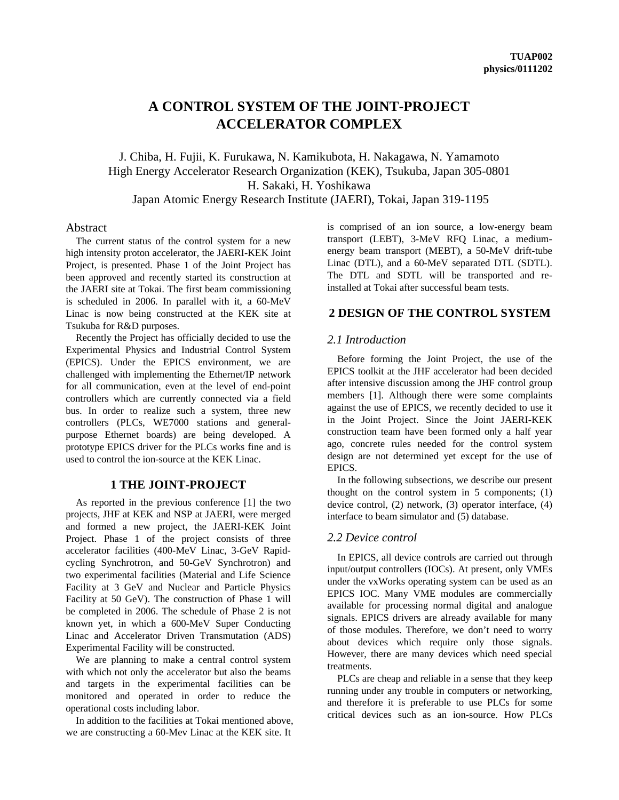# **A CONTROL SYSTEM OF THE JOINT-PROJECT ACCELERATOR COMPLEX**

J. Chiba, H. Fujii, K. Furukawa, N. Kamikubota, H. Nakagawa, N. Yamamoto High Energy Accelerator Research Organization (KEK), Tsukuba, Japan 305-0801 H. Sakaki, H. Yoshikawa Japan Atomic Energy Research Institute (JAERI), Tokai, Japan 319-1195

## Abstract

The current status of the control system for a new high intensity proton accelerator, the JAERI-KEK Joint Project, is presented. Phase 1 of the Joint Project has been approved and recently started its construction at the JAERI site at Tokai. The first beam commissioning is scheduled in 2006. In parallel with it, a 60-MeV Linac is now being constructed at the KEK site at Tsukuba for R&D purposes.

Recently the Project has officially decided to use the Experimental Physics and Industrial Control System (EPICS). Under the EPICS environment, we are challenged with implementing the Ethernet/IP network for all communication, even at the level of end-point controllers which are currently connected via a field bus. In order to realize such a system, three new controllers (PLCs, WE7000 stations and generalpurpose Ethernet boards) are being developed. A prototype EPICS driver for the PLCs works fine and is used to control the ion-source at the KEK Linac.

# **1 THE JOINT-PROJECT**

As reported in the previous conference [1] the two projects, JHF at KEK and NSP at JAERI, were merged and formed a new project, the JAERI-KEK Joint Project. Phase 1 of the project consists of three accelerator facilities (400-MeV Linac, 3-GeV Rapidcycling Synchrotron, and 50-GeV Synchrotron) and two experimental facilities (Material and Life Science Facility at 3 GeV and Nuclear and Particle Physics Facility at 50 GeV). The construction of Phase 1 will be completed in 2006. The schedule of Phase 2 is not known yet, in which a 600-MeV Super Conducting Linac and Accelerator Driven Transmutation (ADS) Experimental Facility will be constructed.

We are planning to make a central control system with which not only the accelerator but also the beams and targets in the experimental facilities can be monitored and operated in order to reduce the operational costs including labor.

In addition to the facilities at Tokai mentioned above, we are constructing a 60-Mev Linac at the KEK site. It

is comprised of an ion source, a low-energy beam transport (LEBT), 3-MeV RFQ Linac, a mediumenergy beam transport (MEBT), a 50-MeV drift-tube Linac (DTL), and a 60-MeV separated DTL (SDTL). The DTL and SDTL will be transported and reinstalled at Tokai after successful beam tests.

# **2 DESIGN OF THE CONTROL SYSTEM**

#### *2.1 Introduction*

Before forming the Joint Project, the use of the EPICS toolkit at the JHF accelerator had been decided after intensive discussion among the JHF control group members [1]. Although there were some complaints against the use of EPICS, we recently decided to use it in the Joint Project. Since the Joint JAERI-KEK construction team have been formed only a half year ago, concrete rules needed for the control system design are not determined yet except for the use of EPICS.

In the following subsections, we describe our present thought on the control system in 5 components; (1) device control, (2) network, (3) operator interface, (4) interface to beam simulator and (5) database.

#### *2.2 Device control*

In EPICS, all device controls are carried out through input/output controllers (IOCs). At present, only VMEs under the vxWorks operating system can be used as an EPICS IOC. Many VME modules are commercially available for processing normal digital and analogue signals. EPICS drivers are already available for many of those modules. Therefore, we don't need to worry about devices which require only those signals. However, there are many devices which need special treatments.

PLCs are cheap and reliable in a sense that they keep running under any trouble in computers or networking, and therefore it is preferable to use PLCs for some critical devices such as an ion-source. How PLCs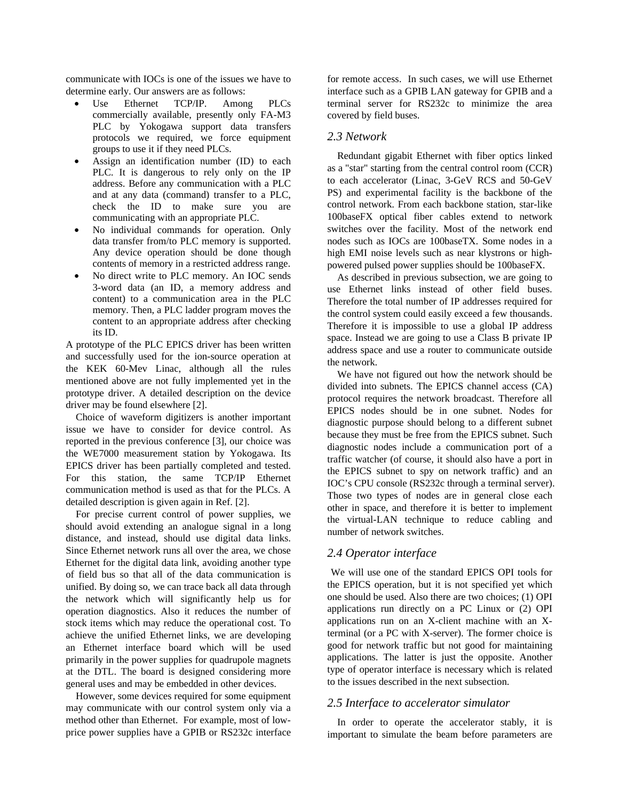communicate with IOCs is one of the issues we have to determine early. Our answers are as follows:

- Use Ethernet TCP/IP. Among PLCs commercially available, presently only FA-M3 PLC by Yokogawa support data transfers protocols we required, we force equipment groups to use it if they need PLCs.
- Assign an identification number (ID) to each PLC. It is dangerous to rely only on the IP address. Before any communication with a PLC and at any data (command) transfer to a PLC, check the ID to make sure you are communicating with an appropriate PLC.
- No individual commands for operation. Only data transfer from/to PLC memory is supported. Any device operation should be done though contents of memory in a restricted address range.
- No direct write to PLC memory. An IOC sends 3-word data (an ID, a memory address and content) to a communication area in the PLC memory. Then, a PLC ladder program moves the content to an appropriate address after checking its ID.

A prototype of the PLC EPICS driver has been written and successfully used for the ion-source operation at the KEK 60-Mev Linac, although all the rules mentioned above are not fully implemented yet in the prototype driver. A detailed description on the device driver may be found elsewhere [2].

Choice of waveform digitizers is another important issue we have to consider for device control. As reported in the previous conference [3], our choice was the WE7000 measurement station by Yokogawa. Its EPICS driver has been partially completed and tested. For this station, the same TCP/IP Ethernet communication method is used as that for the PLCs. A detailed description is given again in Ref. [2].

For precise current control of power supplies, we should avoid extending an analogue signal in a long distance, and instead, should use digital data links. Since Ethernet network runs all over the area, we chose Ethernet for the digital data link, avoiding another type of field bus so that all of the data communication is unified. By doing so, we can trace back all data through the network which will significantly help us for operation diagnostics. Also it reduces the number of stock items which may reduce the operational cost. To achieve the unified Ethernet links, we are developing an Ethernet interface board which will be used primarily in the power supplies for quadrupole magnets at the DTL. The board is designed considering more general uses and may be embedded in other devices.

However, some devices required for some equipment may communicate with our control system only via a method other than Ethernet. For example, most of lowprice power supplies have a GPIB or RS232c interface

for remote access. In such cases, we will use Ethernet interface such as a GPIB LAN gateway for GPIB and a terminal server for RS232c to minimize the area covered by field buses.

#### *2.3 Network*

Redundant gigabit Ethernet with fiber optics linked as a "star" starting from the central control room (CCR) to each accelerator (Linac, 3-GeV RCS and 50-GeV PS) and experimental facility is the backbone of the control network. From each backbone station, star-like 100baseFX optical fiber cables extend to network switches over the facility. Most of the network end nodes such as IOCs are 100baseTX. Some nodes in a high EMI noise levels such as near klystrons or highpowered pulsed power supplies should be 100baseFX.

As described in previous subsection, we are going to use Ethernet links instead of other field buses. Therefore the total number of IP addresses required for the control system could easily exceed a few thousands. Therefore it is impossible to use a global IP address space. Instead we are going to use a Class B private IP address space and use a router to communicate outside the network.

We have not figured out how the network should be divided into subnets. The EPICS channel access (CA) protocol requires the network broadcast. Therefore all EPICS nodes should be in one subnet. Nodes for diagnostic purpose should belong to a different subnet because they must be free from the EPICS subnet. Such diagnostic nodes include a communication port of a traffic watcher (of course, it should also have a port in the EPICS subnet to spy on network traffic) and an IOC's CPU console (RS232c through a terminal server). Those two types of nodes are in general close each other in space, and therefore it is better to implement the virtual-LAN technique to reduce cabling and number of network switches.

## *2.4 Operator interface*

We will use one of the standard EPICS OPI tools for the EPICS operation, but it is not specified yet which one should be used. Also there are two choices; (1) OPI applications run directly on a PC Linux or (2) OPI applications run on an X-client machine with an Xterminal (or a PC with X-server). The former choice is good for network traffic but not good for maintaining applications. The latter is just the opposite. Another type of operator interface is necessary which is related to the issues described in the next subsection.

#### *2.5 Interface to accelerator simulator*

In order to operate the accelerator stably, it is important to simulate the beam before parameters are